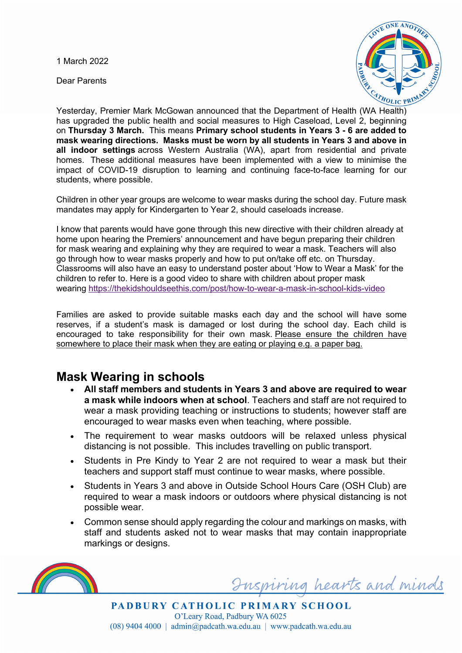1 March 2022

Dear Parents



Yesterday, Premier Mark McGowan announced that the Department of Health (WA Health) has upgraded the public health and social measures to High Caseload, Level 2, beginning on **Thursday 3 March.** This means **Primary school students in Years 3 - 6 are added to mask wearing directions. Masks must be worn by all students in Years 3 and above in all indoor settings** across Western Australia (WA), apart from residential and private homes. These additional measures have been implemented with a view to minimise the impact of COVID-19 disruption to learning and continuing face-to-face learning for our students, where possible.

Children in other year groups are welcome to wear masks during the school day. Future mask mandates may apply for Kindergarten to Year 2, should caseloads increase.

I know that parents would have gone through this new directive with their children already at home upon hearing the Premiers' announcement and have begun preparing their children for mask wearing and explaining why they are required to wear a mask. Teachers will also go through how to wear masks properly and how to put on/take off etc. on Thursday. Classrooms will also have an easy to understand poster about 'How to Wear a Mask' for the children to refer to. Here is a good video to share with children about proper mask wearing https://thekidshouldseethis.com/post/how-to-wear-a-mask-in-school-kids-video

Families are asked to provide suitable masks each day and the school will have some reserves, if a student's mask is damaged or lost during the school day. Each child is encouraged to take responsibility for their own mask. Please ensure the children have somewhere to place their mask when they are eating or playing e.g. a paper bag.

## **Mask Wearing in schools**

- **All staff members and students in Years 3 and above are required to wear a mask while indoors when at school**. Teachers and staff are not required to wear a mask providing teaching or instructions to students; however staff are encouraged to wear masks even when teaching, where possible.
- The requirement to wear masks outdoors will be relaxed unless physical distancing is not possible. This includes travelling on public transport.
- Students in Pre Kindy to Year 2 are not required to wear a mask but their teachers and support staff must continue to wear masks, where possible.
- Students in Years 3 and above in Outside School Hours Care (OSH Club) are required to wear a mask indoors or outdoors where physical distancing is not possible wear.
- Common sense should apply regarding the colour and markings on masks, with staff and students asked not to wear masks that may contain inappropriate markings or designs.



Inspiring hearts and minds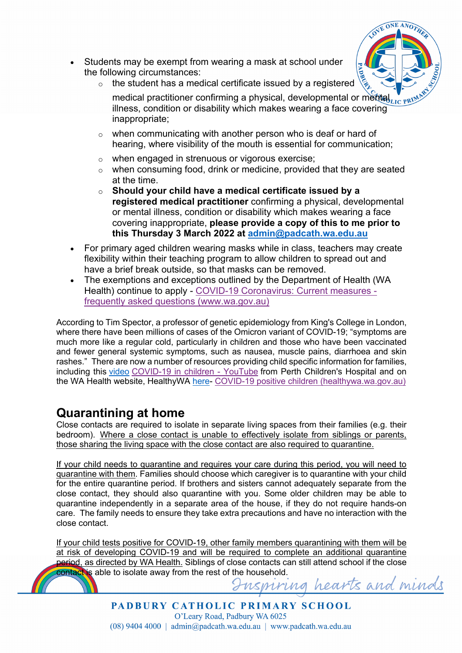- ONE ANO?
- Students may be exempt from wearing a mask at school under the following circumstances:
	- $\circ$  the student has a medical certificate issued by a registered
		- medical practitioner confirming a physical, developmental or mental  $\overline{u}_{\text{LIC-RV}}$ illness, condition or disability which makes wearing a face covering inappropriate;
	- o when communicating with another person who is deaf or hard of hearing, where visibility of the mouth is essential for communication;
	- o when engaged in strenuous or vigorous exercise;
	- o when consuming food, drink or medicine, provided that they are seated at the time.
	- o **Should your child have a medical certificate issued by a registered medical practitioner** confirming a physical, developmental or mental illness, condition or disability which makes wearing a face covering inappropriate, **please provide a copy of this to me prior to this Thursday 3 March 2022 at admin@padcath.wa.edu.au**
- For primary aged children wearing masks while in class, teachers may create flexibility within their teaching program to allow children to spread out and have a brief break outside, so that masks can be removed.
- The exemptions and exceptions outlined by the Department of Health (WA Health) continue to apply - COVID-19 Coronavirus: Current measures frequently asked questions (www.wa.gov.au)

According to Tim Spector, a professor of genetic epidemiology from King's College in London, where there have been millions of cases of the Omicron variant of COVID-19; "symptoms are much more like a regular cold, particularly in children and those who have been vaccinated and fewer general systemic symptoms, such as nausea, muscle pains, diarrhoea and skin rashes." There are now a number of resources providing child specific information for families, including this video COVID-19 in children - YouTube from Perth Children's Hospital and on the WA Health website, HealthyWA here- COVID-19 positive children (healthywa.wa.gov.au)

## **Quarantining at home**

Close contacts are required to isolate in separate living spaces from their families (e.g. their bedroom). Where a close contact is unable to effectively isolate from siblings or parents, those sharing the living space with the close contact are also required to quarantine.

If your child needs to quarantine and requires your care during this period, you will need to quarantine with them. Families should choose which caregiver is to quarantine with your child for the entire quarantine period. If brothers and sisters cannot adequately separate from the close contact, they should also quarantine with you. Some older children may be able to quarantine independently in a separate area of the house, if they do not require hands-on care. The family needs to ensure they take extra precautions and have no interaction with the close contact.

If your child tests positive for COVID-19, other family members quarantining with them will be at risk of developing COVID-19 and will be required to complete an additional quarantine period, as directed by WA Health. Siblings of close contacts can still attend school if the close contact is able to isolate away from the rest of the household.<br>Insuring hearts and minds

PADBURY CATHOLIC PRIMARY SCHOOL O'Leary Road, Padbury WA 6025  $(08)$  9404 4000 | admin@padcath.wa.edu.au | www.padcath.wa.edu.au